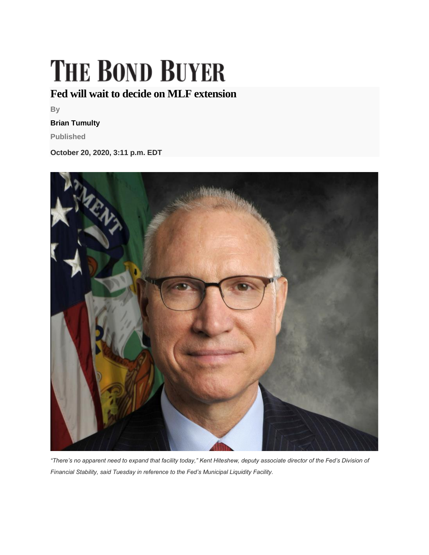## **THE BOND BUYER**

## **Fed will wait to decide on MLF extension**

**By**

## **Brian Tumulty**

**Published**

**October 20, 2020, 3:11 p.m. EDT**



*"There's no apparent need to expand that facility today," Kent Hiteshew, deputy associate director of the Fed's Division of Financial Stability, said Tuesday in reference to the Fed's Municipal Liquidity Facility.*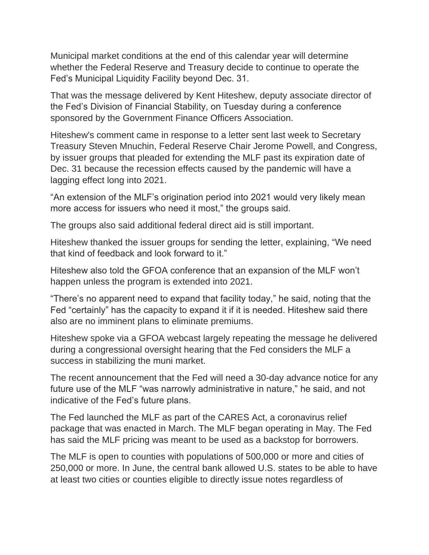Municipal market conditions at the end of this calendar year will determine whether the Federal Reserve and Treasury decide to continue to operate the Fed's Municipal Liquidity Facility beyond Dec. 31.

That was the message delivered by Kent Hiteshew, deputy associate director of the Fed's Division of Financial Stability, on Tuesday during a conference sponsored by the Government Finance Officers Association.

Hiteshew's comment came in response to a letter sent last week to Secretary Treasury Steven Mnuchin, Federal Reserve Chair Jerome Powell, and Congress, by issuer groups that pleaded for extending the MLF past its expiration date of Dec. 31 because the recession effects caused by the pandemic will have a lagging effect long into 2021.

"An extension of the MLF's origination period into 2021 would very likely mean more access for issuers who need it most," the groups said.

The groups also said additional federal direct aid is still important.

Hiteshew thanked the issuer groups for sending the letter, explaining, "We need that kind of feedback and look forward to it."

Hiteshew also told the GFOA conference that an expansion of the MLF won't happen unless the program is extended into 2021.

"There's no apparent need to expand that facility today," he said, noting that the Fed "certainly" has the capacity to expand it if it is needed. Hiteshew said there also are no imminent plans to eliminate premiums.

Hiteshew spoke via a GFOA webcast largely repeating the message he delivered during a congressional oversight hearing that the Fed considers the MLF a success in stabilizing the muni market.

The recent announcement that the Fed will need a 30-day advance notice for any future use of the MLF "was narrowly administrative in nature," he said, and not indicative of the Fed's future plans.

The Fed launched the MLF as part of the CARES Act, a coronavirus relief package that was enacted in March. The MLF began operating in May. The Fed has said the MLF pricing was meant to be used as a backstop for borrowers.

The MLF is open to counties with populations of 500,000 or more and cities of 250,000 or more. In June, the central bank allowed U.S. states to be able to have at least two cities or counties eligible to directly issue notes regardless of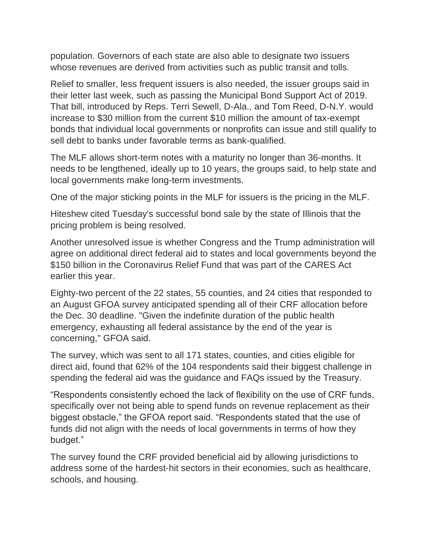population. Governors of each state are also able to designate two issuers whose revenues are derived from activities such as public transit and tolls.

Relief to smaller, less frequent issuers is also needed, the issuer groups said in their letter last week, such as passing the Municipal Bond Support Act of 2019. That bill, introduced by Reps. Terri Sewell, D-Ala., and Tom Reed, D-N.Y. would increase to \$30 million from the current \$10 million the amount of tax-exempt bonds that individual local governments or nonprofits can issue and still qualify to sell debt to banks under favorable terms as bank-qualified.

The MLF allows short-term notes with a maturity no longer than 36-months. It needs to be lengthened, ideally up to 10 years, the groups said, to help state and local governments make long-term investments.

One of the major sticking points in the MLF for issuers is the pricing in the MLF.

Hiteshew cited Tuesday's successful bond sale by the state of Illinois that the pricing problem is being resolved.

Another unresolved issue is whether Congress and the Trump administration will agree on additional direct federal aid to states and local governments beyond the \$150 billion in the Coronavirus Relief Fund that was part of the CARES Act earlier this year.

Eighty-two percent of the 22 states, 55 counties, and 24 cities that responded to an August GFOA survey anticipated spending all of their CRF allocation before the Dec. 30 deadline. "Given the indefinite duration of the public health emergency, exhausting all federal assistance by the end of the year is concerning," GFOA said.

The survey, which was sent to all 171 states, counties, and cities eligible for direct aid, found that 62% of the 104 respondents said their biggest challenge in spending the federal aid was the guidance and FAQs issued by the Treasury.

"Respondents consistently echoed the lack of flexibility on the use of CRF funds, specifically over not being able to spend funds on revenue replacement as their biggest obstacle," the GFOA report said. "Respondents stated that the use of funds did not align with the needs of local governments in terms of how they budget."

The survey found the CRF provided beneficial aid by allowing jurisdictions to address some of the hardest-hit sectors in their economies, such as healthcare, schools, and housing.